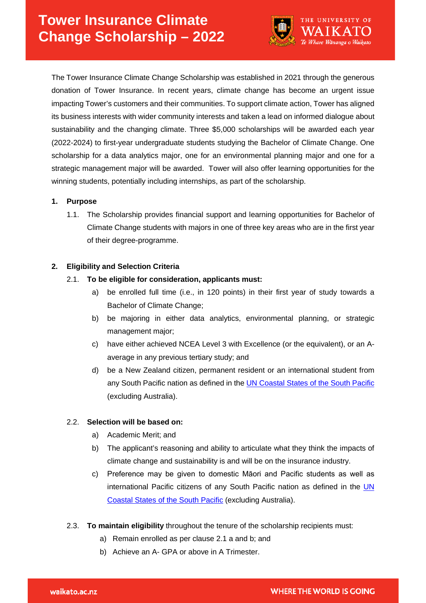

The Tower Insurance Climate Change Scholarship was established in 2021 through the generous donation of Tower Insurance. In recent years, climate change has become an urgent issue impacting Tower's customers and their communities. To support climate action, Tower has aligned its business interests with wider community interests and taken a lead on informed dialogue about sustainability and the changing climate. Three \$5,000 scholarships will be awarded each year (2022-2024) to first-year undergraduate students studying the Bachelor of Climate Change. One scholarship for a data analytics major, one for an environmental planning major and one for a strategic management major will be awarded. Tower will also offer learning opportunities for the winning students, potentially including internships, as part of the scholarship.

## **1. Purpose**

1.1. The Scholarship provides financial support and learning opportunities for Bachelor of Climate Change students with majors in one of three key areas who are in the first year of their degree-programme.

## **2. Eligibility and Selection Criteria**

## 2.1. **To be eligible for consideration, applicants must:**

- a) be enrolled full time (i.e., in 120 points) in their first year of study towards a Bachelor of Climate Change;
- b) be majoring in either data analytics, environmental planning, or strategic management major;
- c) have either achieved NCEA Level 3 with Excellence (or the equivalent), or an Aaverage in any previous tertiary study; and
- d) be a New Zealand citizen, permanent resident or an international student from any South Pacific nation as defined in the [UN Coastal States of the South Pacific](https://www.un.org/Depts/los/LEGISLATIONANDTREATIES/south_pacific.htm) (excluding Australia).

#### 2.2. **Selection will be based on:**

- a) Academic Merit; and
- b) The applicant's reasoning and ability to articulate what they think the impacts of climate change and sustainability is and will be on the insurance industry.
- c) Preference may be given to domestic Māori and Pacific students as well as international Pacific citizens of any South Pacific nation as defined in the UN [Coastal States of the South Pacific](https://www.un.org/Depts/los/LEGISLATIONANDTREATIES/south_pacific.htm) (excluding Australia).
- 2.3. **To maintain eligibility** throughout the tenure of the scholarship recipients must:
	- a) Remain enrolled as per clause 2.1 a and b; and
	- b) Achieve an A- GPA or above in A Trimester.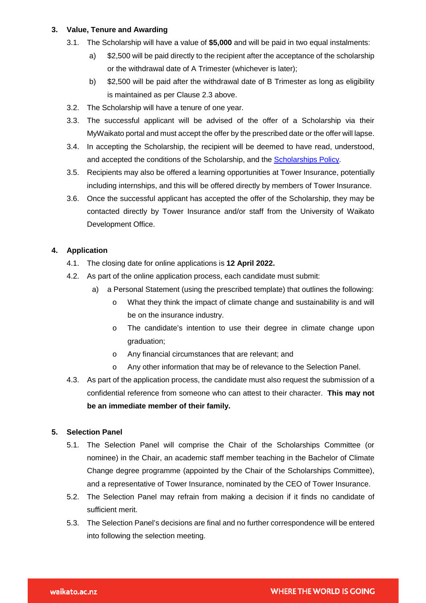# **3. Value, Tenure and Awarding**

- 3.1. The Scholarship will have a value of **\$5,000** and will be paid in two equal instalments:
	- a) \$2,500 will be paid directly to the recipient after the acceptance of the scholarship or the withdrawal date of A Trimester (whichever is later);
	- b) \$2,500 will be paid after the withdrawal date of B Trimester as long as eligibility is maintained as per Clause 2.3 above.
- 3.2. The Scholarship will have a tenure of one year.
- 3.3. The successful applicant will be advised of the offer of a Scholarship via their MyWaikato portal and must accept the offer by the prescribed date or the offer will lapse.
- 3.4. In accepting the Scholarship, the recipient will be deemed to have read, understood, and accepted the conditions of the Scholarship, and the [Scholarships Policy.](https://www.waikato.ac.nz/official-info/index/docs/scholarships-policy)
- 3.5. Recipients may also be offered a learning opportunities at Tower Insurance, potentially including internships, and this will be offered directly by members of Tower Insurance.
- 3.6. Once the successful applicant has accepted the offer of the Scholarship, they may be contacted directly by Tower Insurance and/or staff from the University of Waikato Development Office.

# **4. Application**

- 4.1. The closing date for online applications is **12 April 2022.**
- 4.2. As part of the online application process, each candidate must submit:
	- a) a Personal Statement (using the prescribed template) that outlines the following:
		- o What they think the impact of climate change and sustainability is and will be on the insurance industry.
		- o The candidate's intention to use their degree in climate change upon graduation;
		- o Any financial circumstances that are relevant; and
		- o Any other information that may be of relevance to the Selection Panel.
- 4.3. As part of the application process, the candidate must also request the submission of a confidential reference from someone who can attest to their character. **This may not be an immediate member of their family.**

# **5. Selection Panel**

- 5.1. The Selection Panel will comprise the Chair of the Scholarships Committee (or nominee) in the Chair, an academic staff member teaching in the Bachelor of Climate Change degree programme (appointed by the Chair of the Scholarships Committee), and a representative of Tower Insurance, nominated by the CEO of Tower Insurance.
- 5.2. The Selection Panel may refrain from making a decision if it finds no candidate of sufficient merit.
- 5.3. The Selection Panel's decisions are final and no further correspondence will be entered into following the selection meeting.